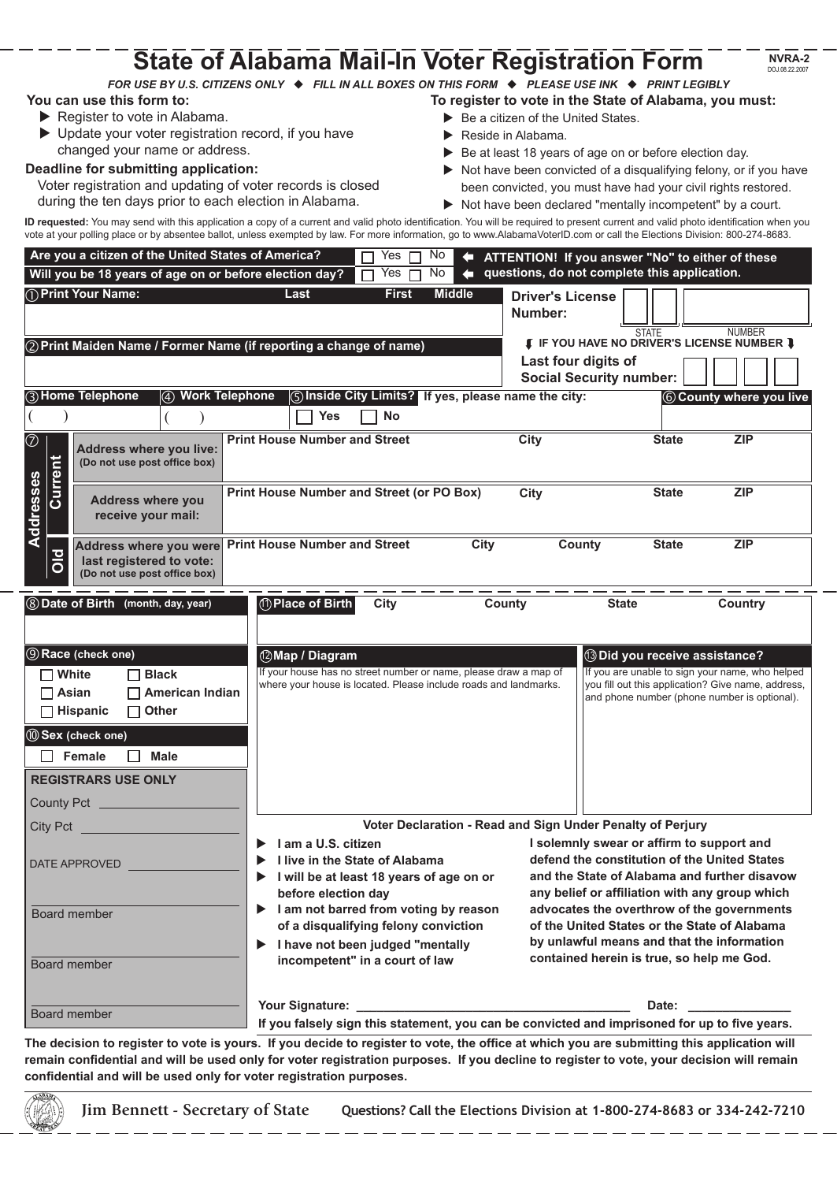|                                                                                                                                                                                                                                                                                                                    | <b>State of Alabama Mail-In Voter Registration Form</b>                                                                                                                                                                                                                                                                                                                                                                                                               |                                                                                                                                                                                                                                                                                                                                                                                      | <b>NVRA-2</b><br>DOJ.08.22.2007                                                                                                                                                                                                                           |
|--------------------------------------------------------------------------------------------------------------------------------------------------------------------------------------------------------------------------------------------------------------------------------------------------------------------|-----------------------------------------------------------------------------------------------------------------------------------------------------------------------------------------------------------------------------------------------------------------------------------------------------------------------------------------------------------------------------------------------------------------------------------------------------------------------|--------------------------------------------------------------------------------------------------------------------------------------------------------------------------------------------------------------------------------------------------------------------------------------------------------------------------------------------------------------------------------------|-----------------------------------------------------------------------------------------------------------------------------------------------------------------------------------------------------------------------------------------------------------|
| You can use this form to:<br>Register to vote in Alabama.<br>▶ Update your voter registration record, if you have<br>changed your name or address.<br>Deadline for submitting application:<br>Voter registration and updating of voter records is closed<br>during the ten days prior to each election in Alabama. | FOR USE BY U.S. CITIZENS ONLY ♦ FILL IN ALL BOXES ON THIS FORM ♦ PLEASE USE INK ♦ PRINT LEGIBLY<br>ID requested: You may send with this application a copy of a current and valid photo identification. You will be required to present current and valid photo identification when you<br>vote at your polling place or by absentee ballot, unless exempted by law. For more information, go to www.AlabamaVoterID.com or call the Elections Division: 800-274-8683. | Be a citizen of the United States.<br>Reside in Alabama.<br>Be at least 18 years of age on or before election day.                                                                                                                                                                                                                                                                   | To register to vote in the State of Alabama, you must:<br>Not have been convicted of a disqualifying felony, or if you have<br>been convicted, you must have had your civil rights restored.<br>Not have been declared "mentally incompetent" by a court. |
| Are you a citizen of the United States of America?                                                                                                                                                                                                                                                                 | Yes<br>No                                                                                                                                                                                                                                                                                                                                                                                                                                                             |                                                                                                                                                                                                                                                                                                                                                                                      | ATTENTION! If you answer "No" to either of these                                                                                                                                                                                                          |
| Will you be 18 years of age on or before election day?<br>(1) Print Your Name:                                                                                                                                                                                                                                     | No<br>Yes<br><b>Middle</b><br><b>First</b><br>Last                                                                                                                                                                                                                                                                                                                                                                                                                    | questions, do not complete this application.<br><b>Driver's License</b><br>Number:                                                                                                                                                                                                                                                                                                   |                                                                                                                                                                                                                                                           |
| 2) Print Maiden Name / Former Name (if reporting a change of name)                                                                                                                                                                                                                                                 |                                                                                                                                                                                                                                                                                                                                                                                                                                                                       | Last four digits of<br><b>Social Security number:</b>                                                                                                                                                                                                                                                                                                                                | <b>STATE</b><br><b>NUMBER</b><br><b>[ IF YOU HAVE NO DRIVER'S LICENSE NUMBER ]</b>                                                                                                                                                                        |
| 3) Home Telephone<br><b>Work Telephone</b><br>$\circled{4}$                                                                                                                                                                                                                                                        | (5) Inside City Limits? If yes, please name the city:<br><b>Yes</b><br><b>No</b>                                                                                                                                                                                                                                                                                                                                                                                      |                                                                                                                                                                                                                                                                                                                                                                                      | 6 County where you live                                                                                                                                                                                                                                   |
| $^\circledR$<br>Address where you live:<br>(Do not use post office box)                                                                                                                                                                                                                                            | <b>Print House Number and Street</b>                                                                                                                                                                                                                                                                                                                                                                                                                                  | <b>City</b>                                                                                                                                                                                                                                                                                                                                                                          | <b>State</b><br><b>ZIP</b>                                                                                                                                                                                                                                |
| Current<br>Addresses<br><b>Address where you</b><br>receive your mail:                                                                                                                                                                                                                                             | Print House Number and Street (or PO Box)                                                                                                                                                                                                                                                                                                                                                                                                                             | City                                                                                                                                                                                                                                                                                                                                                                                 | <b>State</b><br><b>ZIP</b>                                                                                                                                                                                                                                |
| Address where you were<br><b>Old</b><br>last registered to vote:<br>(Do not use post office box)                                                                                                                                                                                                                   | <b>Print House Number and Street</b><br><b>City</b>                                                                                                                                                                                                                                                                                                                                                                                                                   | <b>County</b>                                                                                                                                                                                                                                                                                                                                                                        | <b>State</b><br><b>ZIP</b>                                                                                                                                                                                                                                |
| <b>8 Date of Birth</b> (month, day, year)<br><b>9 Race (check one)</b><br>$\Box$ White<br>$\Box$ Black<br>$\Box$ American Indian<br>$\Box$ Asian<br>$\Box$ Other<br>$\Box$ Hispanic<br><b>10 Sex (check one)</b><br>$\Box$ Female<br>$\Box$ Male<br><b>REGISTRARS USE ONLY</b><br>County Pct _                     | 10 Place of Birth<br><b>City</b><br>12 Map / Diagram<br>If your house has no street number or name, please draw a map of<br>where your house is located. Please include roads and landmarks.                                                                                                                                                                                                                                                                          | County<br><b>State</b>                                                                                                                                                                                                                                                                                                                                                               | <b>Country</b><br><b>13 Did you receive assistance?</b><br>If you are unable to sign your name, who helped<br>you fill out this application? Give name, address,<br>and phone number (phone number is optional).                                          |
| City Pct                                                                                                                                                                                                                                                                                                           | Voter Declaration - Read and Sign Under Penalty of Perjury                                                                                                                                                                                                                                                                                                                                                                                                            |                                                                                                                                                                                                                                                                                                                                                                                      |                                                                                                                                                                                                                                                           |
| DATE APPROVED<br>Board member<br>Board member                                                                                                                                                                                                                                                                      | I am a U.S. citizen<br>I live in the State of Alabama<br>I will be at least 18 years of age on or<br>▶<br>before election day<br>I am not barred from voting by reason<br>▶<br>of a disqualifying felony conviction<br>I have not been judged "mentally<br>▶<br>incompetent" in a court of law                                                                                                                                                                        | I solemnly swear or affirm to support and<br>defend the constitution of the United States<br>and the State of Alabama and further disavow<br>any belief or affiliation with any group which<br>advocates the overthrow of the governments<br>of the United States or the State of Alabama<br>by unlawful means and that the information<br>contained herein is true, so help me God. |                                                                                                                                                                                                                                                           |
| Board member                                                                                                                                                                                                                                                                                                       |                                                                                                                                                                                                                                                                                                                                                                                                                                                                       | Date: the contract of the contract of the contract of the contract of the contract of the contract of the contract of the contract of the contract of the contract of the contract of the contract of the contract of the cont<br>If you falsely sign this statement, you can be convicted and imprisoned for up to five years.                                                      |                                                                                                                                                                                                                                                           |

**The decision to register to vote is yours. If you decide to register to vote, the office at which you are submitting this application will remain confidential and will be used only for voter registration purposes. If you decline to register to vote, your decision will remain confidential and will be used only for voter registration purposes.** 

**Jim Bennett - Secretary of State Questions? Call the Elections Division at 1-800-274-8683 or 334-242-7210**